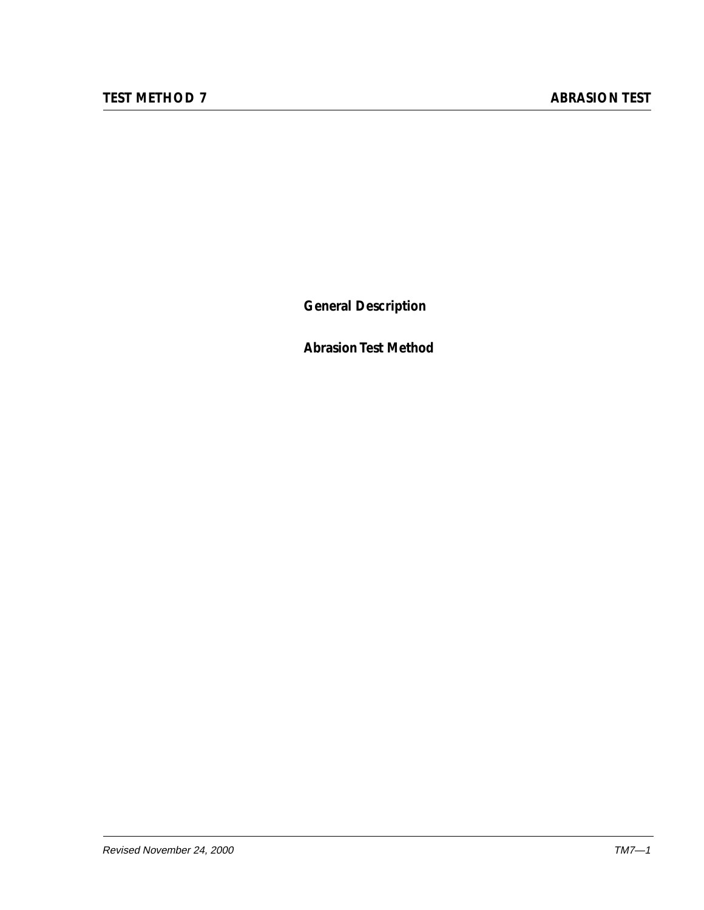**General Description**

**Abrasion Test Method**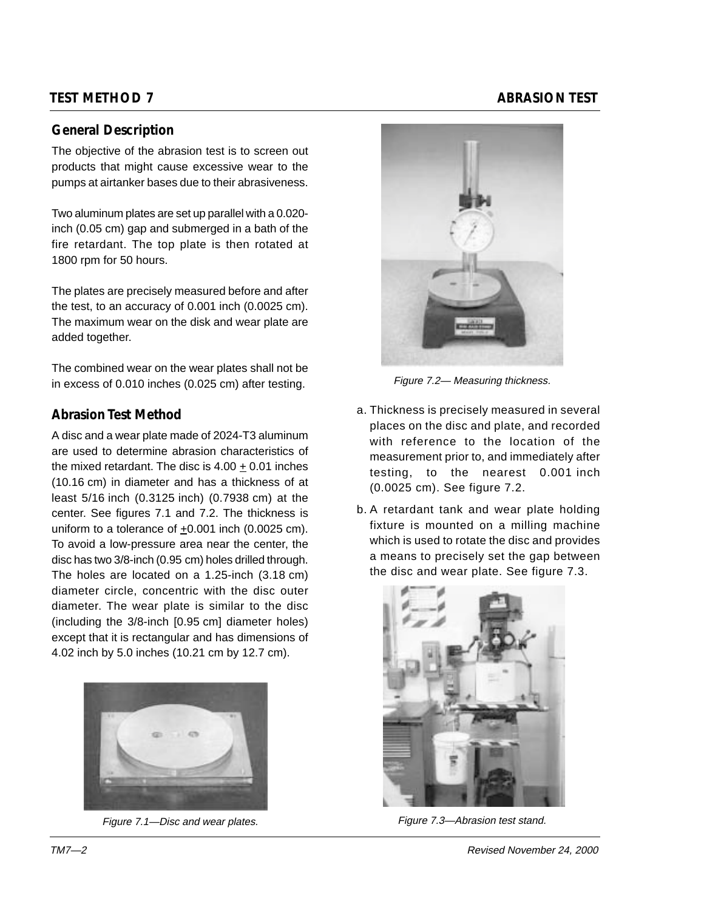# **TEST METHOD 7** ABRASION TEST

## **General Description**

The objective of the abrasion test is to screen out products that might cause excessive wear to the pumps at airtanker bases due to their abrasiveness.

Two aluminum plates are set up parallel with a 0.020 inch (0.05 cm) gap and submerged in a bath of the fire retardant. The top plate is then rotated at 1800 rpm for 50 hours.

The plates are precisely measured before and after the test, to an accuracy of 0.001 inch (0.0025 cm). The maximum wear on the disk and wear plate are added together.

The combined wear on the wear plates shall not be in excess of 0.010 inches (0.025 cm) after testing.

## **Abrasion Test Method**

A disc and a wear plate made of 2024-T3 aluminum are used to determine abrasion characteristics of the mixed retardant. The disc is 4.00 + 0.01 inches (10.16 cm) in diameter and has a thickness of at least 5/16 inch (0.3125 inch) (0.7938 cm) at the center. See figures 7.1 and 7.2. The thickness is uniform to a tolerance of +0.001 inch (0.0025 cm). To avoid a low-pressure area near the center, the disc has two 3/8-inch (0.95 cm) holes drilled through. The holes are located on a 1.25-inch (3.18 cm) diameter circle, concentric with the disc outer diameter. The wear plate is similar to the disc (including the 3/8-inch [0.95 cm] diameter holes) except that it is rectangular and has dimensions of 4.02 inch by 5.0 inches (10.21 cm by 12.7 cm).



Figure 7.1—Disc and wear plates.



Figure 7.2— Measuring thickness.

- a. Thickness is precisely measured in several places on the disc and plate, and recorded with reference to the location of the measurement prior to, and immediately after testing, to the nearest 0.001 inch (0.0025 cm). See figure 7.2.
- b. A retardant tank and wear plate holding fixture is mounted on a milling machine which is used to rotate the disc and provides a means to precisely set the gap between the disc and wear plate. See figure 7.3.



Figure 7.3—Abrasion test stand.